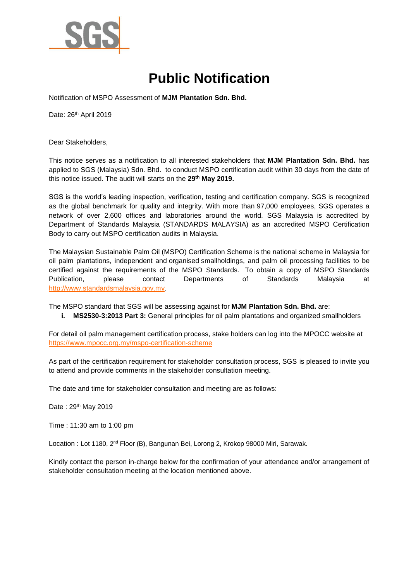

## **Public Notification**

Notification of MSPO Assessment of **MJM Plantation Sdn. Bhd.** 

Date: 26<sup>th</sup> April 2019

Dear Stakeholders,

This notice serves as a notification to all interested stakeholders that **MJM Plantation Sdn. Bhd.** has applied to SGS (Malaysia) Sdn. Bhd. to conduct MSPO certification audit within 30 days from the date of this notice issued. The audit will starts on the **29 th May 2019.** 

SGS is the world's leading inspection, verification, testing and certification company. SGS is recognized as the global benchmark for quality and integrity. With more than 97,000 employees, SGS operates a network of over 2,600 offices and laboratories around the world. SGS Malaysia is accredited by Department of Standards Malaysia (STANDARDS MALAYSIA) as an accredited MSPO Certification Body to carry out MSPO certification audits in Malaysia.

The Malaysian Sustainable Palm Oil (MSPO) Certification Scheme is the national scheme in Malaysia for oil palm plantations, independent and organised smallholdings, and palm oil processing facilities to be certified against the requirements of the MSPO Standards. To obtain a copy of MSPO Standards Publication, please contact Departments of Standards Malaysia at [http://www.standardsmalaysia.gov.my.](http://www.standardsmalaysia.gov.my/)

The MSPO standard that SGS will be assessing against for **MJM Plantation Sdn. Bhd.** are:

**i. MS2530-3:2013 Part 3:** General principles for oil palm plantations and organized smallholders

For detail oil palm management certification process, stake holders can log into the MPOCC website at <https://www.mpocc.org.my/mspo-certification-scheme>

As part of the certification requirement for stakeholder consultation process, SGS is pleased to invite you to attend and provide comments in the stakeholder consultation meeting.

The date and time for stakeholder consultation and meeting are as follows:

Date: 29<sup>th</sup> May 2019

Time : 11:30 am to 1:00 pm

Location : Lot 1180, 2<sup>nd</sup> Floor (B), Bangunan Bei, Lorong 2, Krokop 98000 Miri, Sarawak.

Kindly contact the person in-charge below for the confirmation of your attendance and/or arrangement of stakeholder consultation meeting at the location mentioned above.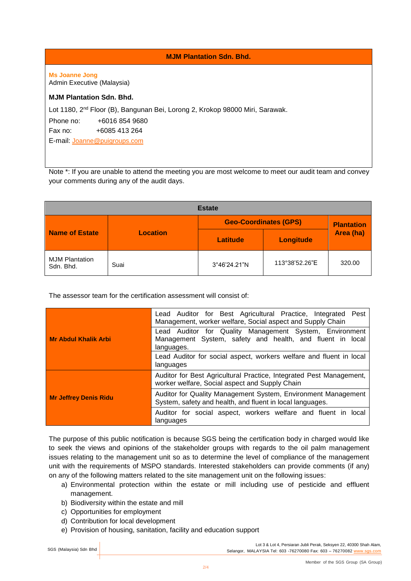**MJM Plantation Sdn. Bhd.** 

**Ms Joanne Jong**  Admin Executive (Malaysia)

## **MJM Plantation Sdn. Bhd.**

Lot 1180, 2nd Floor (B), Bangunan Bei, Lorong 2, Krokop 98000 Miri, Sarawak.

Phone no: +6016 854 9680

Fax no: +6085 413 264

E-mail: [Joanne@puigroups.com](mailto:Joanne@puigroups.com)

Note \*: If you are unable to attend the meeting you are most welcome to meet our audit team and convey your comments during any of the audit days.

| <b>Estate</b>                      |                 |                              |                  |                   |
|------------------------------------|-----------------|------------------------------|------------------|-------------------|
| <b>Name of Estate</b>              | <b>Location</b> | <b>Geo-Coordinates (GPS)</b> |                  | <b>Plantation</b> |
|                                    |                 | Latitude                     | <b>Longitude</b> | Area (ha)         |
| <b>MJM Plantation</b><br>Sdn. Bhd. | Suai            | 3°46'24.21"N                 | 113°38'52.26"E   | 320.00            |

The assessor team for the certification assessment will consist of:

|                              | Lead Auditor for Best Agricultural Practice, Integrated<br>Pest<br>Management, worker welfare, Social aspect and Supply Chain      |  |
|------------------------------|------------------------------------------------------------------------------------------------------------------------------------|--|
| <b>Mr Abdul Khalik Arbi</b>  | Lead Auditor for Quality Management System, Environment<br>Management System, safety and health, and fluent in local<br>languages. |  |
|                              | Lead Auditor for social aspect, workers welfare and fluent in local<br>languages                                                   |  |
|                              | Auditor for Best Agricultural Practice, Integrated Pest Management,<br>worker welfare, Social aspect and Supply Chain              |  |
| <b>Mr Jeffrey Denis Ridu</b> | Auditor for Quality Management System, Environment Management<br>System, safety and health, and fluent in local languages.         |  |
|                              | Auditor for social aspect, workers welfare and fluent in local<br>languages                                                        |  |

The purpose of this public notification is because SGS being the certification body in charged would like to seek the views and opinions of the stakeholder groups with regards to the oil palm management issues relating to the management unit so as to determine the level of compliance of the management unit with the requirements of MSPO standards. Interested stakeholders can provide comments (if any) on any of the following matters related to the site management unit on the following issues:

- a) Environmental protection within the estate or mill including use of pesticide and effluent management.
- b) Biodiversity within the estate and mill
- c) Opportunities for employment
- d) Contribution for local development
- e) Provision of housing, sanitation, facility and education support

Lot 3 & Lot 4, Persiaran Jubli Perak, Seksyen 22, 40300 Shah Alam, SGS (Malaysia) Sdn Bhd | Selangor, MALAYSIA Tel: 603 -76270080 Fax: 603 -76270082 [www.sgs.com](http://www.sgs.com/)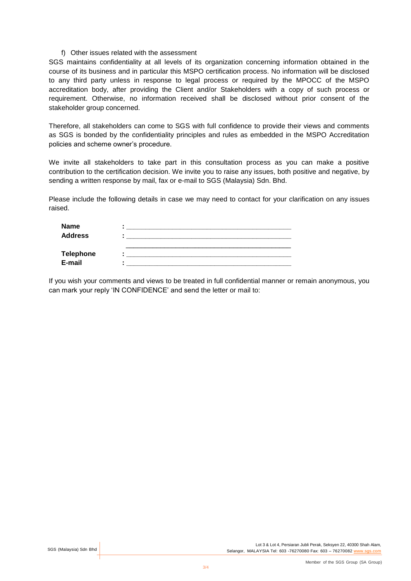## f) Other issues related with the assessment

SGS maintains confidentiality at all levels of its organization concerning information obtained in the course of its business and in particular this MSPO certification process. No information will be disclosed to any third party unless in response to legal process or required by the MPOCC of the MSPO accreditation body, after providing the Client and/or Stakeholders with a copy of such process or requirement. Otherwise, no information received shall be disclosed without prior consent of the stakeholder group concerned.

Therefore, all stakeholders can come to SGS with full confidence to provide their views and comments as SGS is bonded by the confidentiality principles and rules as embedded in the MSPO Accreditation policies and scheme owner's procedure.

We invite all stakeholders to take part in this consultation process as you can make a positive contribution to the certification decision. We invite you to raise any issues, both positive and negative, by sending a written response by mail, fax or e-mail to SGS (Malaysia) Sdn. Bhd.

Please include the following details in case we may need to contact for your clarification on any issues raised.

| <b>Name</b>      |  |
|------------------|--|
| <b>Address</b>   |  |
|                  |  |
| <b>Telephone</b> |  |
| E-mail           |  |

If you wish your comments and views to be treated in full confidential manner or remain anonymous, you can mark your reply 'IN CONFIDENCE' and send the letter or mail to: